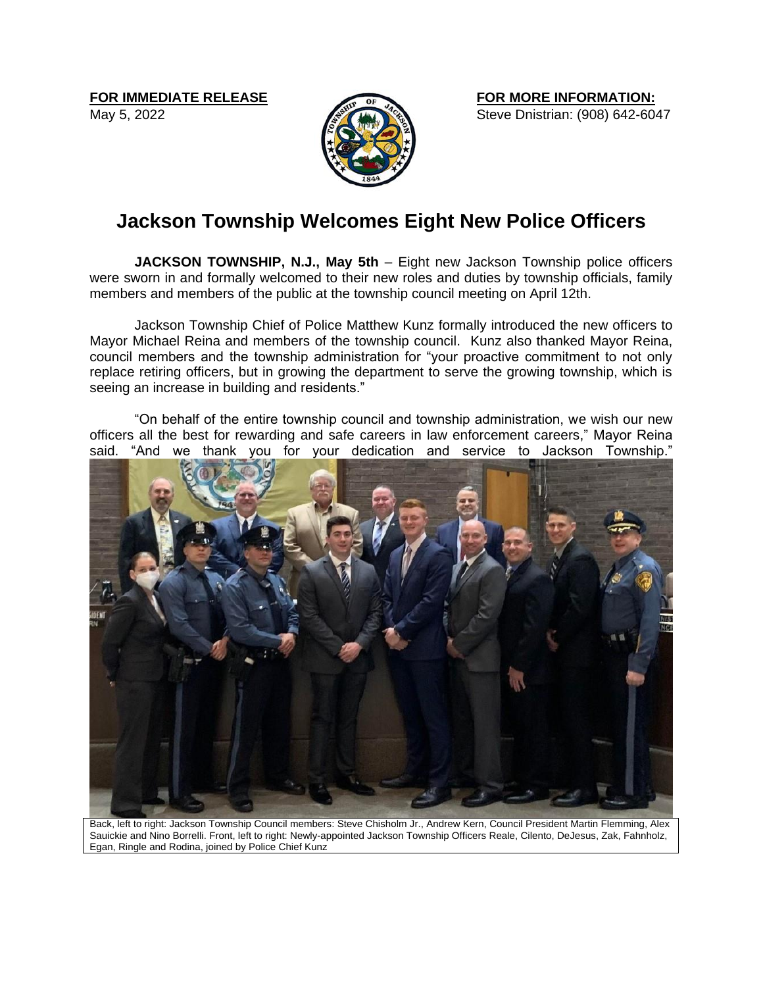May 5, 2022



**FOR MORE INFORMATION:** Steve Dnistrian: (908) 642-6047

## **Jackson Township Welcomes Eight New Police Officers**

**JACKSON TOWNSHIP, N.J., May 5th** – Eight new Jackson Township police officers were sworn in and formally welcomed to their new roles and duties by township officials, family members and members of the public at the township council meeting on April 12th.

Jackson Township Chief of Police Matthew Kunz formally introduced the new officers to Mayor Michael Reina and members of the township council. Kunz also thanked Mayor Reina, council members and the township administration for "your proactive commitment to not only replace retiring officers, but in growing the department to serve the growing township, which is seeing an increase in building and residents."

"On behalf of the entire township council and township administration, we wish our new officers all the best for rewarding and safe careers in law enforcement careers," Mayor Reina said. "And we thank you for your dedication and service to Jackson Township."



Back, left to right: Jackson Township Council members: Steve Chisholm Jr., Andrew Kern, Council President Martin Flemming, Alex Sauickie and Nino Borrelli. Front, left to right: Newly-appointed Jackson Township Officers Reale, Cilento, DeJesus, Zak, Fahnholz, Egan, Ringle and Rodina, joined by Police Chief Kunz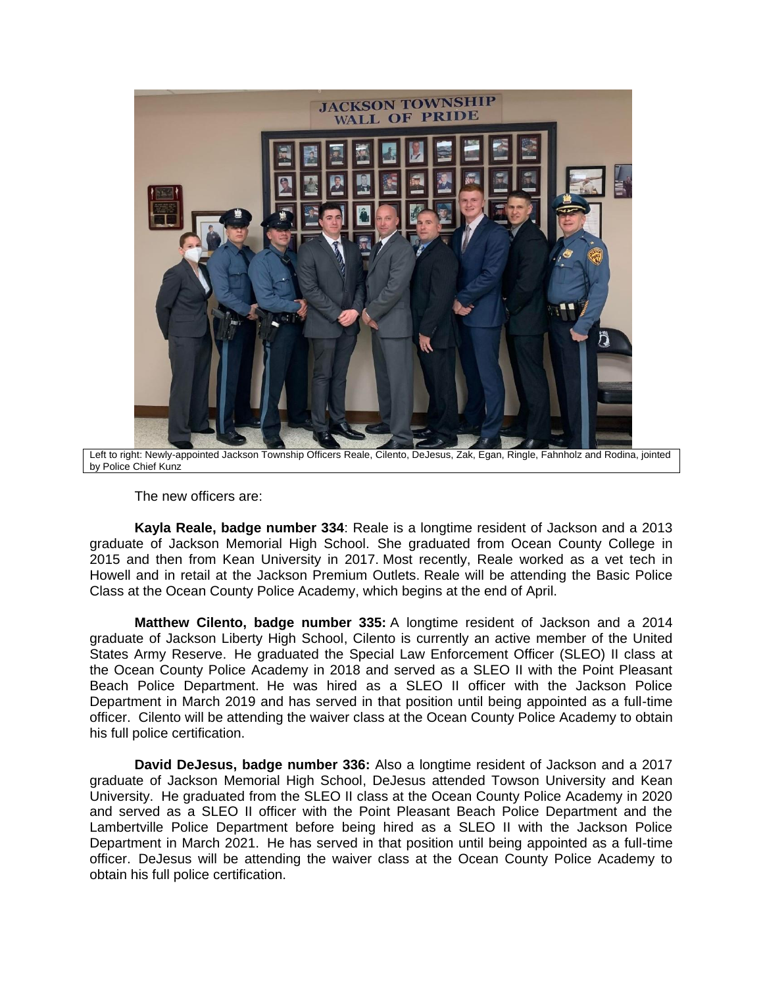

Left to right: Newly-appointed Jackson Township Officers Reale, Cilento, DeJesus, Zak, Egan, Ringle, Fahnholz and Rodina, jointed by Police Chief Kunz

The new officers are:

**Kayla Reale, badge number 334**: Reale is a longtime resident of Jackson and a 2013 graduate of Jackson Memorial High School. She graduated from Ocean County College in 2015 and then from Kean University in 2017. Most recently, Reale worked as a vet tech in Howell and in retail at the Jackson Premium Outlets. Reale will be attending the Basic Police Class at the Ocean County Police Academy, which begins at the end of April.

**Matthew Cilento, badge number 335:** A longtime resident of Jackson and a 2014 graduate of Jackson Liberty High School, Cilento is currently an active member of the United States Army Reserve. He graduated the Special Law Enforcement Officer (SLEO) II class at the Ocean County Police Academy in 2018 and served as a SLEO II with the Point Pleasant Beach Police Department. He was hired as a SLEO II officer with the Jackson Police Department in March 2019 and has served in that position until being appointed as a full-time officer. Cilento will be attending the waiver class at the Ocean County Police Academy to obtain his full police certification.

**David DeJesus, badge number 336:** Also a longtime resident of Jackson and a 2017 graduate of Jackson Memorial High School, DeJesus attended Towson University and Kean University. He graduated from the SLEO II class at the Ocean County Police Academy in 2020 and served as a SLEO II officer with the Point Pleasant Beach Police Department and the Lambertville Police Department before being hired as a SLEO II with the Jackson Police Department in March 2021. He has served in that position until being appointed as a full-time officer. DeJesus will be attending the waiver class at the Ocean County Police Academy to obtain his full police certification.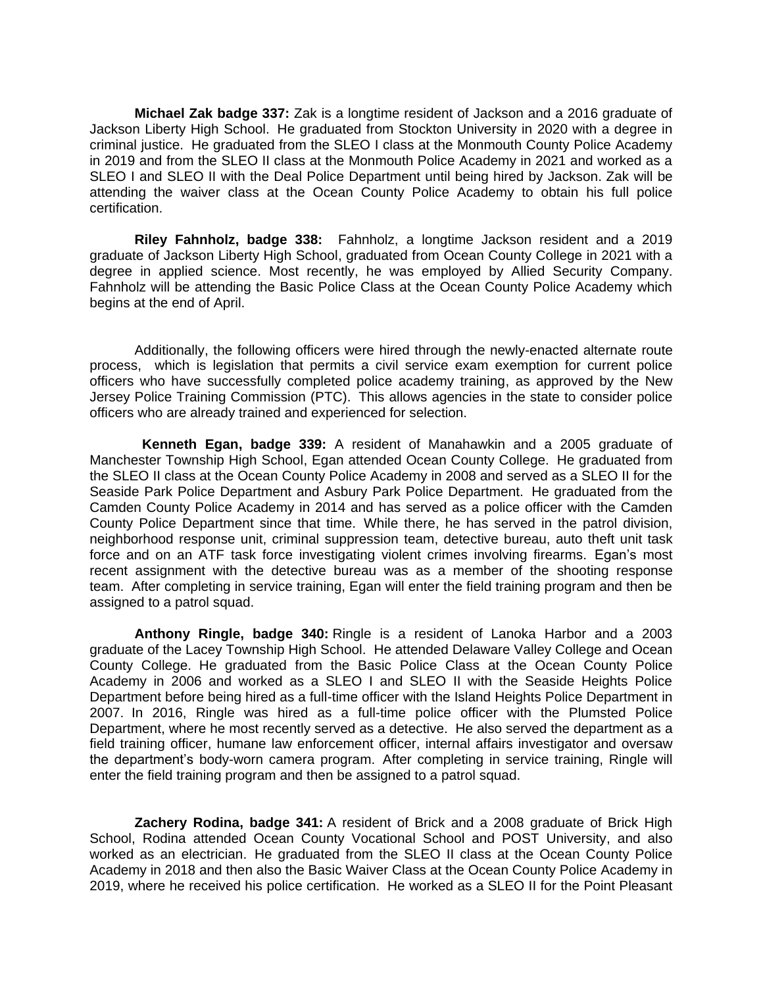**Michael Zak badge 337:** Zak is a longtime resident of Jackson and a 2016 graduate of Jackson Liberty High School. He graduated from Stockton University in 2020 with a degree in criminal justice. He graduated from the SLEO I class at the Monmouth County Police Academy in 2019 and from the SLEO II class at the Monmouth Police Academy in 2021 and worked as a SLEO I and SLEO II with the Deal Police Department until being hired by Jackson. Zak will be attending the waiver class at the Ocean County Police Academy to obtain his full police certification.

**Riley Fahnholz, badge 338:** Fahnholz, a longtime Jackson resident and a 2019 graduate of Jackson Liberty High School, graduated from Ocean County College in 2021 with a degree in applied science. Most recently, he was employed by Allied Security Company. Fahnholz will be attending the Basic Police Class at the Ocean County Police Academy which begins at the end of April.

Additionally, the following officers were hired through the newly-enacted alternate route process, which is legislation that permits a civil service exam exemption for current police officers who have successfully completed police academy training, as approved by the New Jersey Police Training Commission (PTC). This allows agencies in the state to consider police officers who are already trained and experienced for selection.

**Kenneth Egan, badge 339:** A resident of Manahawkin and a 2005 graduate of Manchester Township High School, Egan attended Ocean County College. He graduated from the SLEO II class at the Ocean County Police Academy in 2008 and served as a SLEO II for the Seaside Park Police Department and Asbury Park Police Department. He graduated from the Camden County Police Academy in 2014 and has served as a police officer with the Camden County Police Department since that time. While there, he has served in the patrol division, neighborhood response unit, criminal suppression team, detective bureau, auto theft unit task force and on an ATF task force investigating violent crimes involving firearms. Egan's most recent assignment with the detective bureau was as a member of the shooting response team. After completing in service training, Egan will enter the field training program and then be assigned to a patrol squad.

**Anthony Ringle, badge 340:** Ringle is a resident of Lanoka Harbor and a 2003 graduate of the Lacey Township High School. He attended Delaware Valley College and Ocean County College. He graduated from the Basic Police Class at the Ocean County Police Academy in 2006 and worked as a SLEO I and SLEO II with the Seaside Heights Police Department before being hired as a full-time officer with the Island Heights Police Department in 2007. In 2016, Ringle was hired as a full-time police officer with the Plumsted Police Department, where he most recently served as a detective. He also served the department as a field training officer, humane law enforcement officer, internal affairs investigator and oversaw the department's body-worn camera program. After completing in service training, Ringle will enter the field training program and then be assigned to a patrol squad.

**Zachery Rodina, badge 341:** A resident of Brick and a 2008 graduate of Brick High School, Rodina attended Ocean County Vocational School and POST University, and also worked as an electrician. He graduated from the SLEO II class at the Ocean County Police Academy in 2018 and then also the Basic Waiver Class at the Ocean County Police Academy in 2019, where he received his police certification. He worked as a SLEO II for the Point Pleasant